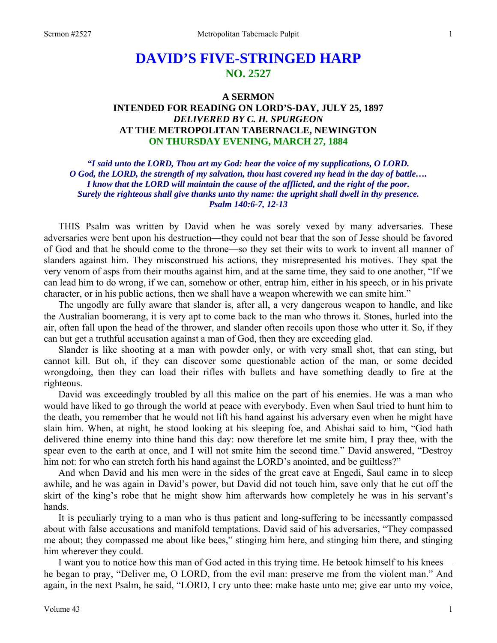# **DAVID'S FIVE-STRINGED HARP NO. 2527**

# **A SERMON INTENDED FOR READING ON LORD'S-DAY, JULY 25, 1897**  *DELIVERED BY C. H. SPURGEON*  **AT THE METROPOLITAN TABERNACLE, NEWINGTON ON THURSDAY EVENING, MARCH 27, 1884**

*"I said unto the LORD, Thou art my God: hear the voice of my supplications, O LORD. O God, the LORD, the strength of my salvation, thou hast covered my head in the day of battle…. I know that the LORD will maintain the cause of the afflicted, and the right of the poor. Surely the righteous shall give thanks unto thy name: the upright shall dwell in thy presence. Psalm 140:6-7, 12-13* 

THIS Psalm was written by David when he was sorely vexed by many adversaries. These adversaries were bent upon his destruction—they could not bear that the son of Jesse should be favored of God and that he should come to the throne—so they set their wits to work to invent all manner of slanders against him. They misconstrued his actions, they misrepresented his motives. They spat the very venom of asps from their mouths against him, and at the same time, they said to one another, "If we can lead him to do wrong, if we can, somehow or other, entrap him, either in his speech, or in his private character, or in his public actions, then we shall have a weapon wherewith we can smite him."

The ungodly are fully aware that slander is, after all, a very dangerous weapon to handle, and like the Australian boomerang, it is very apt to come back to the man who throws it. Stones, hurled into the air, often fall upon the head of the thrower, and slander often recoils upon those who utter it. So, if they can but get a truthful accusation against a man of God, then they are exceeding glad.

Slander is like shooting at a man with powder only, or with very small shot, that can sting, but cannot kill. But oh, if they can discover some questionable action of the man, or some decided wrongdoing, then they can load their rifles with bullets and have something deadly to fire at the righteous.

David was exceedingly troubled by all this malice on the part of his enemies. He was a man who would have liked to go through the world at peace with everybody. Even when Saul tried to hunt him to the death, you remember that he would not lift his hand against his adversary even when he might have slain him. When, at night, he stood looking at his sleeping foe, and Abishai said to him, "God hath delivered thine enemy into thine hand this day: now therefore let me smite him, I pray thee, with the spear even to the earth at once, and I will not smite him the second time." David answered, "Destroy him not: for who can stretch forth his hand against the LORD's anointed, and be guiltless?"

And when David and his men were in the sides of the great cave at Engedi, Saul came in to sleep awhile, and he was again in David's power, but David did not touch him, save only that he cut off the skirt of the king's robe that he might show him afterwards how completely he was in his servant's hands.

It is peculiarly trying to a man who is thus patient and long-suffering to be incessantly compassed about with false accusations and manifold temptations. David said of his adversaries, "They compassed me about; they compassed me about like bees," stinging him here, and stinging him there, and stinging him wherever they could.

I want you to notice how this man of God acted in this trying time. He betook himself to his knees he began to pray, "Deliver me, O LORD, from the evil man: preserve me from the violent man." And again, in the next Psalm, he said, "LORD, I cry unto thee: make haste unto me; give ear unto my voice,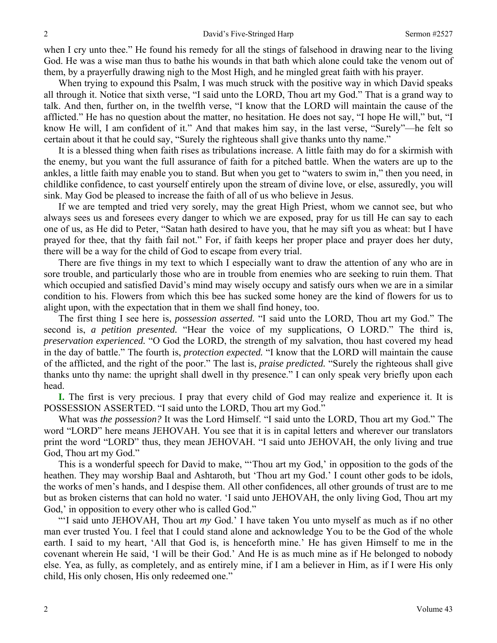when I cry unto thee." He found his remedy for all the stings of falsehood in drawing near to the living God. He was a wise man thus to bathe his wounds in that bath which alone could take the venom out of them, by a prayerfully drawing nigh to the Most High, and he mingled great faith with his prayer.

When trying to expound this Psalm, I was much struck with the positive way in which David speaks all through it. Notice that sixth verse, "I said unto the LORD, Thou art my God." That is a grand way to talk. And then, further on, in the twelfth verse, "I know that the LORD will maintain the cause of the afflicted." He has no question about the matter, no hesitation. He does not say, "I hope He will," but, "I know He will, I am confident of it." And that makes him say, in the last verse, "Surely"—he felt so certain about it that he could say, "Surely the righteous shall give thanks unto thy name."

It is a blessed thing when faith rises as tribulations increase. A little faith may do for a skirmish with the enemy, but you want the full assurance of faith for a pitched battle. When the waters are up to the ankles, a little faith may enable you to stand. But when you get to "waters to swim in," then you need, in childlike confidence, to cast yourself entirely upon the stream of divine love, or else, assuredly, you will sink. May God be pleased to increase the faith of all of us who believe in Jesus.

If we are tempted and tried very sorely, may the great High Priest, whom we cannot see, but who always sees us and foresees every danger to which we are exposed, pray for us till He can say to each one of us, as He did to Peter, "Satan hath desired to have you, that he may sift you as wheat: but I have prayed for thee, that thy faith fail not." For, if faith keeps her proper place and prayer does her duty, there will be a way for the child of God to escape from every trial.

There are five things in my text to which I especially want to draw the attention of any who are in sore trouble, and particularly those who are in trouble from enemies who are seeking to ruin them. That which occupied and satisfied David's mind may wisely occupy and satisfy ours when we are in a similar condition to his. Flowers from which this bee has sucked some honey are the kind of flowers for us to alight upon, with the expectation that in them we shall find honey, too.

The first thing I see here is, *possession asserted.* "I said unto the LORD, Thou art my God." The second is, *a petition presented.* "Hear the voice of my supplications, O LORD." The third is, *preservation experienced.* "O God the LORD, the strength of my salvation, thou hast covered my head in the day of battle." The fourth is, *protection expected.* "I know that the LORD will maintain the cause of the afflicted, and the right of the poor." The last is, *praise predicted.* "Surely the righteous shall give thanks unto thy name: the upright shall dwell in thy presence." I can only speak very briefly upon each head.

**I.** The first is very precious. I pray that every child of God may realize and experience it. It is POSSESSION ASSERTED. "I said unto the LORD, Thou art my God."

What was *the possession?* It was the Lord Himself. "I said unto the LORD, Thou art my God." The word "LORD" here means JEHOVAH. You see that it is in capital letters and wherever our translators print the word "LORD" thus, they mean JEHOVAH. "I said unto JEHOVAH, the only living and true God, Thou art my God."

This is a wonderful speech for David to make, "'Thou art my God,' in opposition to the gods of the heathen. They may worship Baal and Ashtaroth, but 'Thou art my God.' I count other gods to be idols, the works of men's hands, and I despise them. All other confidences, all other grounds of trust are to me but as broken cisterns that can hold no water. 'I said unto JEHOVAH, the only living God, Thou art my God,' in opposition to every other who is called God."

"'I said unto JEHOVAH, Thou art *my* God.' I have taken You unto myself as much as if no other man ever trusted You. I feel that I could stand alone and acknowledge You to be the God of the whole earth. I said to my heart, 'All that God is, is henceforth mine.' He has given Himself to me in the covenant wherein He said, 'I will be their God.' And He is as much mine as if He belonged to nobody else. Yea, as fully, as completely, and as entirely mine, if I am a believer in Him, as if I were His only child, His only chosen, His only redeemed one."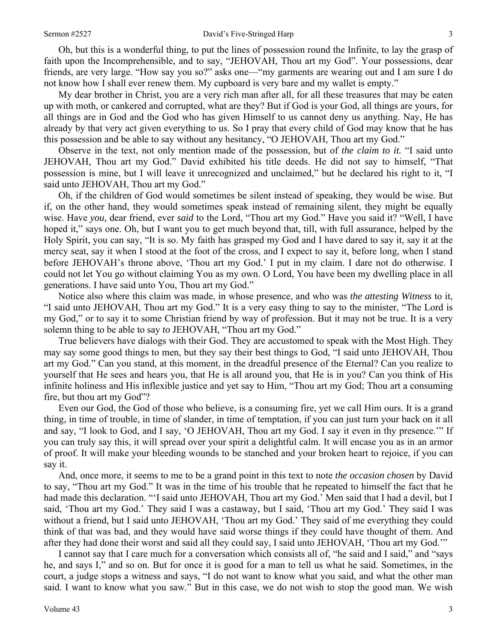Oh, but this is a wonderful thing, to put the lines of possession round the Infinite, to lay the grasp of faith upon the Incomprehensible, and to say, "JEHOVAH, Thou art my God". Your possessions, dear friends, are very large. "How say you so?" asks one—"my garments are wearing out and I am sure I do not know how I shall ever renew them. My cupboard is very bare and my wallet is empty."

My dear brother in Christ, you are a very rich man after all, for all these treasures that may be eaten up with moth, or cankered and corrupted, what are they? But if God is your God, all things are yours, for all things are in God and the God who has given Himself to us cannot deny us anything. Nay, He has already by that very act given everything to us. So I pray that every child of God may know that he has this possession and be able to say without any hesitancy, "O JEHOVAH, Thou art my God."

Observe in the text, not only mention made of the possession, but of *the claim to it.* "I said unto JEHOVAH, Thou art my God." David exhibited his title deeds. He did not say to himself, "That possession is mine, but I will leave it unrecognized and unclaimed," but he declared his right to it, "I said unto JEHOVAH, Thou art my God."

Oh, if the children of God would sometimes be silent instead of speaking, they would be wise. But if, on the other hand, they would sometimes speak instead of remaining silent, they might be equally wise. Have *you,* dear friend, ever *said* to the Lord, "Thou art my God." Have you said it? "Well, I have hoped it," says one. Oh, but I want you to get much beyond that, till, with full assurance, helped by the Holy Spirit, you can say, "It is so. My faith has grasped my God and I have dared to say it, say it at the mercy seat, say it when I stood at the foot of the cross, and I expect to say it, before long, when I stand before JEHOVAH's throne above, 'Thou art my God.' I put in my claim. I dare not do otherwise. I could not let You go without claiming You as my own. O Lord, You have been my dwelling place in all generations. I have said unto You, Thou art my God."

Notice also where this claim was made, in whose presence, and who was *the attesting Witness* to it, "I said unto JEHOVAH, Thou art my God." It is a very easy thing to say to the minister, "The Lord is my God," or to say it to some Christian friend by way of profession. But it may not be true. It is a very solemn thing to be able to say *to* JEHOVAH, "Thou art my God."

True believers have dialogs with their God. They are accustomed to speak with the Most High. They may say some good things to men, but they say their best things to God, "I said unto JEHOVAH, Thou art my God." Can you stand, at this moment, in the dreadful presence of the Eternal? Can you realize to yourself that He sees and hears you, that He is all around you, that He is in you? Can you think of His infinite holiness and His inflexible justice and yet say to Him, "Thou art my God; Thou art a consuming fire, but thou art my God"?

Even our God, the God of those who believe, is a consuming fire, yet we call Him ours. It is a grand thing, in time of trouble, in time of slander, in time of temptation, if you can just turn your back on it all and say, "I look to God, and I say, 'O JEHOVAH, Thou art my God. I say it even in thy presence.'" If you can truly say this, it will spread over your spirit a delightful calm. It will encase you as in an armor of proof. It will make your bleeding wounds to be stanched and your broken heart to rejoice, if you can say it.

And, once more, it seems to me to be a grand point in this text to note *the occasion chosen* by David to say, "Thou art my God." It was in the time of his trouble that he repeated to himself the fact that he had made this declaration. "'I said unto JEHOVAH, Thou art my God.' Men said that I had a devil, but I said, 'Thou art my God.' They said I was a castaway, but I said, 'Thou art my God.' They said I was without a friend, but I said unto JEHOVAH, 'Thou art my God.' They said of me everything they could think of that was bad, and they would have said worse things if they could have thought of them. And after they had done their worst and said all they could say, I said unto JEHOVAH, 'Thou art my God.'"

I cannot say that I care much for a conversation which consists all of, "he said and I said," and "says he, and says I," and so on. But for once it is good for a man to tell us what he said. Sometimes, in the court, a judge stops a witness and says, "I do not want to know what you said, and what the other man said. I want to know what you saw." But in this case, we do not wish to stop the good man. We wish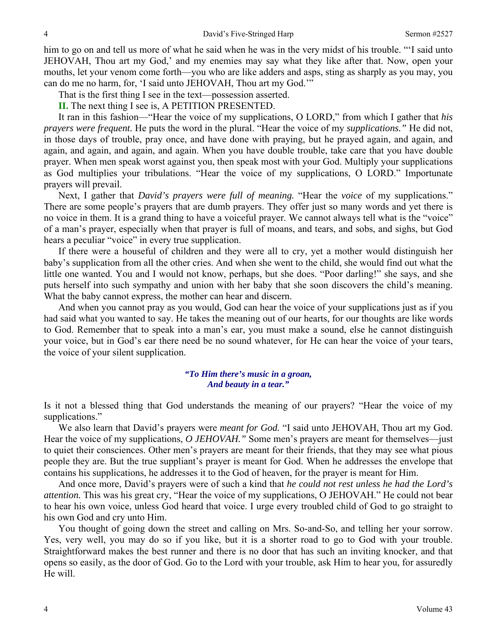him to go on and tell us more of what he said when he was in the very midst of his trouble. "'I said unto JEHOVAH, Thou art my God,' and my enemies may say what they like after that. Now, open your mouths, let your venom come forth—you who are like adders and asps, sting as sharply as you may, you can do me no harm, for, 'I said unto JEHOVAH, Thou art my God.'"

That is the first thing I see in the text—possession asserted.

**II.** The next thing I see is, A PETITION PRESENTED.

It ran in this fashion—"Hear the voice of my supplications, O LORD," from which I gather that *his prayers were frequent.* He puts the word in the plural. "Hear the voice of my *supplications."* He did not, in those days of trouble, pray once, and have done with praying, but he prayed again, and again, and again, and again, and again, and again. When you have double trouble, take care that you have double prayer. When men speak worst against you, then speak most with your God. Multiply your supplications as God multiplies your tribulations. "Hear the voice of my supplications, O LORD." Importunate prayers will prevail.

Next, I gather that *David's prayers were full of meaning.* "Hear the *voice* of my supplications." There are some people's prayers that are dumb prayers. They offer just so many words and yet there is no voice in them. It is a grand thing to have a voiceful prayer. We cannot always tell what is the "voice" of a man's prayer, especially when that prayer is full of moans, and tears, and sobs, and sighs, but God hears a peculiar "voice" in every true supplication.

If there were a houseful of children and they were all to cry, yet a mother would distinguish her baby's supplication from all the other cries. And when she went to the child, she would find out what the little one wanted. You and I would not know, perhaps, but she does. "Poor darling!" she says, and she puts herself into such sympathy and union with her baby that she soon discovers the child's meaning. What the baby cannot express, the mother can hear and discern.

And when you cannot pray as you would, God can hear the voice of your supplications just as if you had said what you wanted to say. He takes the meaning out of our hearts, for our thoughts are like words to God. Remember that to speak into a man's ear, you must make a sound, else he cannot distinguish your voice, but in God's ear there need be no sound whatever, for He can hear the voice of your tears, the voice of your silent supplication.

### *"To Him there's music in a groan, And beauty in a tear."*

Is it not a blessed thing that God understands the meaning of our prayers? "Hear the voice of my supplications."

We also learn that David's prayers were *meant for God.* "I said unto JEHOVAH, Thou art my God. Hear the voice of my supplications, *O JEHOVAH."* Some men's prayers are meant for themselves—just to quiet their consciences. Other men's prayers are meant for their friends, that they may see what pious people they are. But the true suppliant's prayer is meant for God. When he addresses the envelope that contains his supplications, he addresses it to the God of heaven, for the prayer is meant for Him.

And once more, David's prayers were of such a kind that *he could not rest unless he had the Lord's attention.* This was his great cry, "Hear the voice of my supplications, O JEHOVAH." He could not bear to hear his own voice, unless God heard that voice. I urge every troubled child of God to go straight to his own God and cry unto Him.

You thought of going down the street and calling on Mrs. So-and-So, and telling her your sorrow. Yes, very well, you may do so if you like, but it is a shorter road to go to God with your trouble. Straightforward makes the best runner and there is no door that has such an inviting knocker, and that opens so easily, as the door of God. Go to the Lord with your trouble, ask Him to hear you, for assuredly He will.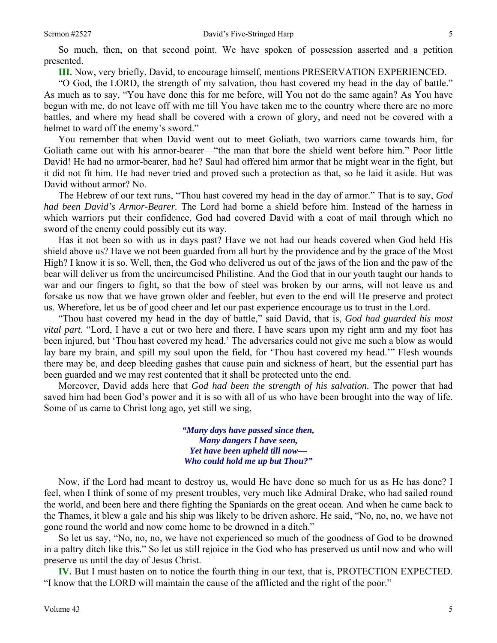So much, then, on that second point. We have spoken of possession asserted and a petition presented.

**III.** Now, very briefly, David, to encourage himself, mentions PRESERVATION EXPERIENCED.

"O God, the LORD, the strength of my salvation, thou hast covered my head in the day of battle." As much as to say, "You have done this for me before, will You not do the same again? As You have begun with me, do not leave off with me till You have taken me to the country where there are no more battles, and where my head shall be covered with a crown of glory, and need not be covered with a helmet to ward off the enemy's sword."

You remember that when David went out to meet Goliath, two warriors came towards him, for Goliath came out with his armor-bearer—"the man that bore the shield went before him." Poor little David! He had no armor-bearer, had he? Saul had offered him armor that he might wear in the fight, but it did not fit him. He had never tried and proved such a protection as that, so he laid it aside. But was David without armor? No.

The Hebrew of our text runs, "Thou hast covered my head in the day of armor." That is to say, *God had been David's Armor-Bearer.* The Lord had borne a shield before him. Instead of the harness in which warriors put their confidence, God had covered David with a coat of mail through which no sword of the enemy could possibly cut its way.

Has it not been so with us in days past? Have we not had our heads covered when God held His shield above us? Have we not been guarded from all hurt by the providence and by the grace of the Most High? I know it is so. Well, then, the God who delivered us out of the jaws of the lion and the paw of the bear will deliver us from the uncircumcised Philistine. And the God that in our youth taught our hands to war and our fingers to fight, so that the bow of steel was broken by our arms, will not leave us and forsake us now that we have grown older and feebler, but even to the end will He preserve and protect us. Wherefore, let us be of good cheer and let our past experience encourage us to trust in the Lord.

"Thou hast covered my head in the day of battle," said David, that is, *God had guarded his most vital part.* "Lord, I have a cut or two here and there. I have scars upon my right arm and my foot has been injured, but 'Thou hast covered my head.' The adversaries could not give me such a blow as would lay bare my brain, and spill my soul upon the field, for 'Thou hast covered my head.'" Flesh wounds there may be, and deep bleeding gashes that cause pain and sickness of heart, but the essential part has been guarded and we may rest contented that it shall be protected unto the end.

Moreover, David adds here that *God had been the strength of his salvation.* The power that had saved him had been God's power and it is so with all of us who have been brought into the way of life. Some of us came to Christ long ago, yet still we sing,

> *"Many days have passed since then, Many dangers I have seen, Yet have been upheld till now— Who could hold me up but Thou?"*

Now, if the Lord had meant to destroy us, would He have done so much for us as He has done? I feel, when I think of some of my present troubles, very much like Admiral Drake, who had sailed round the world, and been here and there fighting the Spaniards on the great ocean. And when he came back to the Thames, it blew a gale and his ship was likely to be driven ashore. He said, "No, no, no, we have not gone round the world and now come home to be drowned in a ditch."

So let us say, "No, no, no, we have not experienced so much of the goodness of God to be drowned in a paltry ditch like this." So let us still rejoice in the God who has preserved us until now and who will preserve us until the day of Jesus Christ.

**IV.** But I must hasten on to notice the fourth thing in our text, that is, PROTECTION EXPECTED. "I know that the LORD will maintain the cause of the afflicted and the right of the poor."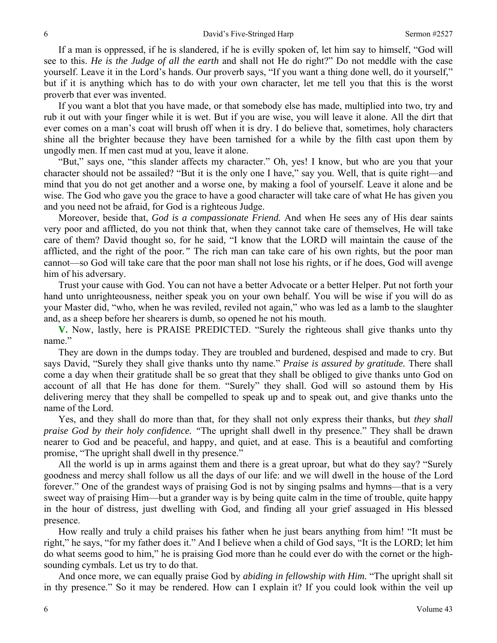If a man is oppressed, if he is slandered, if he is evilly spoken of, let him say to himself, "God will see to this. *He is the Judge of all the earth* and shall not He do right?" Do not meddle with the case yourself. Leave it in the Lord's hands. Our proverb says, "If you want a thing done well, do it yourself," but if it is anything which has to do with your own character, let me tell you that this is the worst proverb that ever was invented.

If you want a blot that you have made, or that somebody else has made, multiplied into two, try and rub it out with your finger while it is wet. But if you are wise, you will leave it alone. All the dirt that ever comes on a man's coat will brush off when it is dry. I do believe that, sometimes, holy characters shine all the brighter because they have been tarnished for a while by the filth cast upon them by ungodly men. If men cast mud at you, leave it alone.

"But," says one, "this slander affects my character." Oh, yes! I know, but who are you that your character should not be assailed? "But it is the only one I have," say you. Well, that is quite right—and mind that you do not get another and a worse one, by making a fool of yourself. Leave it alone and be wise. The God who gave you the grace to have a good character will take care of what He has given you and you need not be afraid, for God is a righteous Judge.

Moreover, beside that, *God is a compassionate Friend.* And when He sees any of His dear saints very poor and afflicted, do you not think that, when they cannot take care of themselves, He will take care of them? David thought so, for he said, "I know that the LORD will maintain the cause of the afflicted, and the right of the poor*."* The rich man can take care of his own rights, but the poor man cannot—so God will take care that the poor man shall not lose his rights, or if he does, God will avenge him of his adversary.

Trust your cause with God. You can not have a better Advocate or a better Helper. Put not forth your hand unto unrighteousness, neither speak you on your own behalf. You will be wise if you will do as your Master did, "who, when he was reviled, reviled not again," who was led as a lamb to the slaughter and, as a sheep before her shearers is dumb, so opened he not his mouth.

**V.** Now, lastly, here is PRAISE PREDICTED. "Surely the righteous shall give thanks unto thy name."

They are down in the dumps today. They are troubled and burdened, despised and made to cry. But says David, "Surely they shall give thanks unto thy name." *Praise is assured by gratitude.* There shall come a day when their gratitude shall be so great that they shall be obliged to give thanks unto God on account of all that He has done for them. "Surely" they shall. God will so astound them by His delivering mercy that they shall be compelled to speak up and to speak out, and give thanks unto the name of the Lord.

Yes, and they shall do more than that, for they shall not only express their thanks, but *they shall praise God by their holy confidence. "*The upright shall dwell in thy presence." They shall be drawn nearer to God and be peaceful, and happy, and quiet, and at ease. This is a beautiful and comforting promise, "The upright shall dwell in thy presence."

All the world is up in arms against them and there is a great uproar, but what do they say? "Surely goodness and mercy shall follow us all the days of our life: and we will dwell in the house of the Lord forever." One of the grandest ways of praising God is not by singing psalms and hymns—that is a very sweet way of praising Him—but a grander way is by being quite calm in the time of trouble, quite happy in the hour of distress, just dwelling with God, and finding all your grief assuaged in His blessed presence.

How really and truly a child praises his father when he just bears anything from him! "It must be right," he says, "for my father does it." And I believe when a child of God says, "It is the LORD; let him do what seems good to him," he is praising God more than he could ever do with the cornet or the highsounding cymbals. Let us try to do that.

And once more, we can equally praise God by *abiding in fellowship with Him.* "The upright shall sit in thy presence." So it may be rendered. How can I explain it? If you could look within the veil up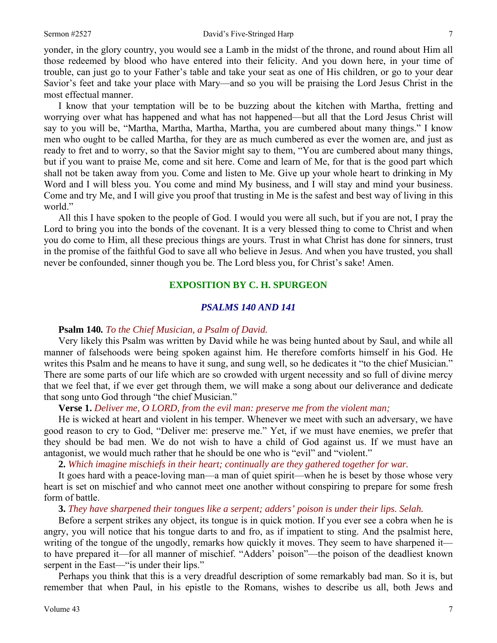yonder, in the glory country, you would see a Lamb in the midst of the throne, and round about Him all those redeemed by blood who have entered into their felicity. And you down here, in your time of trouble, can just go to your Father's table and take your seat as one of His children, or go to your dear Savior's feet and take your place with Mary—and so you will be praising the Lord Jesus Christ in the most effectual manner.

I know that your temptation will be to be buzzing about the kitchen with Martha, fretting and worrying over what has happened and what has not happened—but all that the Lord Jesus Christ will say to you will be, "Martha, Martha, Martha, Martha, you are cumbered about many things." I know men who ought to be called Martha, for they are as much cumbered as ever the women are, and just as ready to fret and to worry, so that the Savior might say to them, "You are cumbered about many things, but if you want to praise Me, come and sit here. Come and learn of Me, for that is the good part which shall not be taken away from you. Come and listen to Me. Give up your whole heart to drinking in My Word and I will bless you. You come and mind My business, and I will stay and mind your business. Come and try Me, and I will give you proof that trusting in Me is the safest and best way of living in this world."

All this I have spoken to the people of God. I would you were all such, but if you are not, I pray the Lord to bring you into the bonds of the covenant. It is a very blessed thing to come to Christ and when you do come to Him, all these precious things are yours. Trust in what Christ has done for sinners, trust in the promise of the faithful God to save all who believe in Jesus. And when you have trusted, you shall never be confounded, sinner though you be. The Lord bless you, for Christ's sake! Amen.

# **EXPOSITION BY C. H. SPURGEON**

# *PSALMS 140 AND 141*

# **Psalm 140***. To the Chief Musician, a Psalm of David.*

Very likely this Psalm was written by David while he was being hunted about by Saul, and while all manner of falsehoods were being spoken against him. He therefore comforts himself in his God. He writes this Psalm and he means to have it sung, and sung well, so he dedicates it "to the chief Musician." There are some parts of our life which are so crowded with urgent necessity and so full of divine mercy that we feel that, if we ever get through them, we will make a song about our deliverance and dedicate that song unto God through "the chief Musician."

**Verse 1.** *Deliver me, O LORD, from the evil man: preserve me from the violent man;* 

He is wicked at heart and violent in his temper. Whenever we meet with such an adversary, we have good reason to cry to God, "Deliver me: preserve me." Yet, if we must have enemies, we prefer that they should be bad men. We do not wish to have a child of God against us. If we must have an antagonist, we would much rather that he should be one who is "evil" and "violent."

**2.** *Which imagine mischiefs in their heart; continually are they gathered together for war.* 

It goes hard with a peace-loving man—a man of quiet spirit—when he is beset by those whose very heart is set on mischief and who cannot meet one another without conspiring to prepare for some fresh form of battle.

**3.** *They have sharpened their tongues like a serpent; adders' poison is under their lips. Selah.*

Before a serpent strikes any object, its tongue is in quick motion. If you ever see a cobra when he is angry, you will notice that his tongue darts to and fro, as if impatient to sting. And the psalmist here, writing of the tongue of the ungodly, remarks how quickly it moves. They seem to have sharpened it to have prepared it—for all manner of mischief. "Adders' poison"—the poison of the deadliest known serpent in the East—"is under their lips."

Perhaps you think that this is a very dreadful description of some remarkably bad man. So it is, but remember that when Paul, in his epistle to the Romans, wishes to describe us all, both Jews and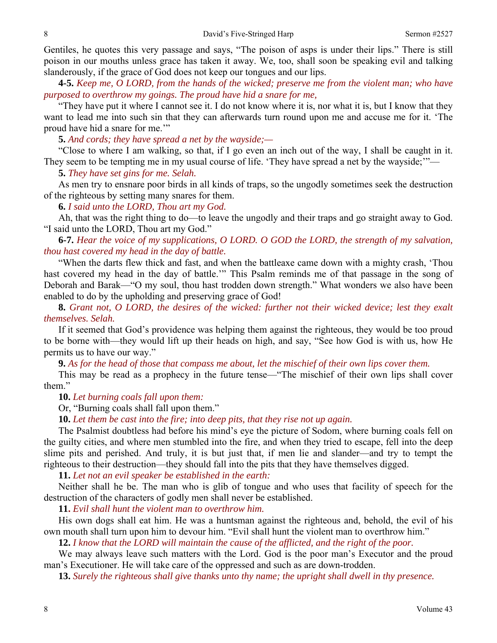Gentiles, he quotes this very passage and says, "The poison of asps is under their lips." There is still poison in our mouths unless grace has taken it away. We, too, shall soon be speaking evil and talking slanderously, if the grace of God does not keep our tongues and our lips.

**4-5.** *Keep me, O LORD, from the hands of the wicked; preserve me from the violent man; who have purposed to overthrow my goings. The proud have hid a snare for me,* 

"They have put it where I cannot see it. I do not know where it is, nor what it is, but I know that they want to lead me into such sin that they can afterwards turn round upon me and accuse me for it. 'The proud have hid a snare for me.'"

**5.** *And cords; they have spread a net by the wayside;—*

"Close to where I am walking, so that, if I go even an inch out of the way, I shall be caught in it. They seem to be tempting me in my usual course of life. 'They have spread a net by the wayside;'"—

**5.** *They have set gins for me. Selah.* 

As men try to ensnare poor birds in all kinds of traps, so the ungodly sometimes seek the destruction of the righteous by setting many snares for them.

**6.** *I said unto the LORD, Thou art my God.* 

Ah, that was the right thing to do—to leave the ungodly and their traps and go straight away to God. "I said unto the LORD, Thou art my God."

**6-7.** *Hear the voice of my supplications, O LORD. O GOD the LORD, the strength of my salvation, thou hast covered my head in the day of battle.* 

"When the darts flew thick and fast, and when the battleaxe came down with a mighty crash, 'Thou hast covered my head in the day of battle.'" This Psalm reminds me of that passage in the song of Deborah and Barak—"O my soul, thou hast trodden down strength." What wonders we also have been enabled to do by the upholding and preserving grace of God!

**8.** *Grant not, O LORD, the desires of the wicked: further not their wicked device; lest they exalt themselves. Selah.* 

If it seemed that God's providence was helping them against the righteous, they would be too proud to be borne with—they would lift up their heads on high, and say, "See how God is with us, how He permits us to have our way."

**9.** *As for the head of those that compass me about, let the mischief of their own lips cover them.* 

This may be read as a prophecy in the future tense—"The mischief of their own lips shall cover them."

**10.** *Let burning coals fall upon them:*

Or, "Burning coals shall fall upon them."

**10.** *Let them be cast into the fire; into deep pits, that they rise not up again.* 

The Psalmist doubtless had before his mind's eye the picture of Sodom, where burning coals fell on the guilty cities, and where men stumbled into the fire, and when they tried to escape, fell into the deep slime pits and perished. And truly, it is but just that, if men lie and slander—and try to tempt the righteous to their destruction—they should fall into the pits that they have themselves digged.

**11.** *Let not an evil speaker be established in the earth:* 

Neither shall he be. The man who is glib of tongue and who uses that facility of speech for the destruction of the characters of godly men shall never be established.

**11.** *Evil shall hunt the violent man to overthrow him.* 

His own dogs shall eat him. He was a huntsman against the righteous and, behold, the evil of his own mouth shall turn upon him to devour him. "Evil shall hunt the violent man to overthrow him."

**12.** *I know that the LORD will maintain the cause of the afflicted, and the right of the poor.* 

We may always leave such matters with the Lord. God is the poor man's Executor and the proud man's Executioner. He will take care of the oppressed and such as are down-trodden.

**13.** *Surely the righteous shall give thanks unto thy name; the upright shall dwell in thy presence.*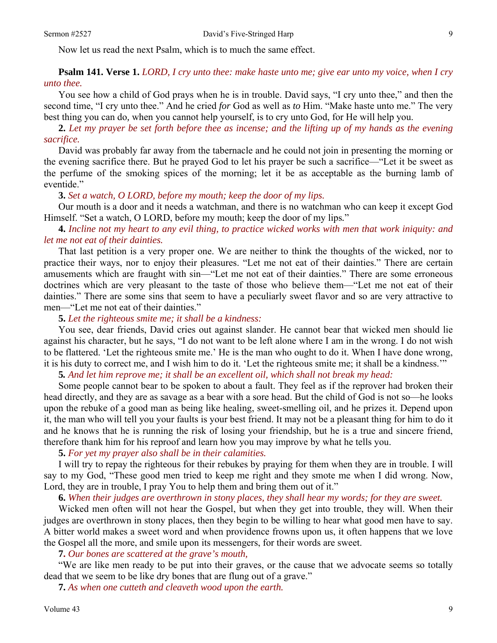Now let us read the next Psalm, which is to much the same effect.

# **Psalm 141. Verse 1.** *LORD, I cry unto thee: make haste unto me; give ear unto my voice, when I cry unto thee.*

You see how a child of God prays when he is in trouble. David says, "I cry unto thee," and then the second time, "I cry unto thee." And he cried *for* God as well as *to* Him. "Make haste unto me." The very best thing you can do*,* when you cannot help yourself, is to cry unto God, for He will help you.

**2.** *Let my prayer be set forth before thee as incense; and the lifting up of my hands as the evening sacrifice.* 

David was probably far away from the tabernacle and he could not join in presenting the morning or the evening sacrifice there. But he prayed God to let his prayer be such a sacrifice—"Let it be sweet as the perfume of the smoking spices of the morning; let it be as acceptable as the burning lamb of eventide."

#### **3.** *Set a watch, O LORD, before my mouth; keep the door of my lips.*

Our mouth is a door and it needs a watchman, and there is no watchman who can keep it except God Himself. "Set a watch, O LORD, before my mouth; keep the door of my lips*.*"

# **4.** *Incline not my heart to any evil thing, to practice wicked works with men that work iniquity: and let me not eat of their dainties.*

That last petition is a very proper one. We are neither to think the thoughts of the wicked, nor to practice their ways, nor to enjoy their pleasures. "Let me not eat of their dainties." There are certain amusements which are fraught with sin—"Let me not eat of their dainties." There are some erroneous doctrines which are very pleasant to the taste of those who believe them—"Let me not eat of their dainties." There are some sins that seem to have a peculiarly sweet flavor and so are very attractive to men—"Let me not eat of their dainties."

### **5.** *Let the righteous smite me; it shall be a kindness:*

You see, dear friends, David cries out against slander. He cannot bear that wicked men should lie against his character, but he says, "I do not want to be left alone where I am in the wrong. I do not wish to be flattered. 'Let the righteous smite me.' He is the man who ought to do it. When I have done wrong, it is his duty to correct me, and I wish him to do it. 'Let the righteous smite me; it shall be a kindness.'"

**5***. And let him reprove me; it shall be an excellent oil, which shall not break my head:*

Some people cannot bear to be spoken to about a fault. They feel as if the reprover had broken their head directly, and they are as savage as a bear with a sore head. But the child of God is not so—he looks upon the rebuke of a good man as being like healing, sweet-smelling oil, and he prizes it. Depend upon it, the man who will tell you your faults is your best friend. It may not be a pleasant thing for him to do it and he knows that he is running the risk of losing your friendship, but he is a true and sincere friend, therefore thank him for his reproof and learn how you may improve by what he tells you.

## **5.** *For yet my prayer also shall be in their calamities.*

I will try to repay the righteous for their rebukes by praying for them when they are in trouble. I will say to my God, "These good men tried to keep me right and they smote me when I did wrong. Now, Lord, they are in trouble, I pray You to help them and bring them out of it."

**6.** *When their judges are overthrown in stony places, they shall hear my words; for they are sweet.* 

Wicked men often will not hear the Gospel, but when they get into trouble, they will. When their judges are overthrown in stony places, then they begin to be willing to hear what good men have to say. A bitter world makes a sweet word and when providence frowns upon us, it often happens that we love the Gospel all the more, and smile upon its messengers, for their words are sweet.

#### **7.** *Our bones are scattered at the grave's mouth,*

"We are like men ready to be put into their graves, or the cause that we advocate seems so totally dead that we seem to be like dry bones that are flung out of a grave."

**7.** *As when one cutteth and cleaveth wood upon the earth.*